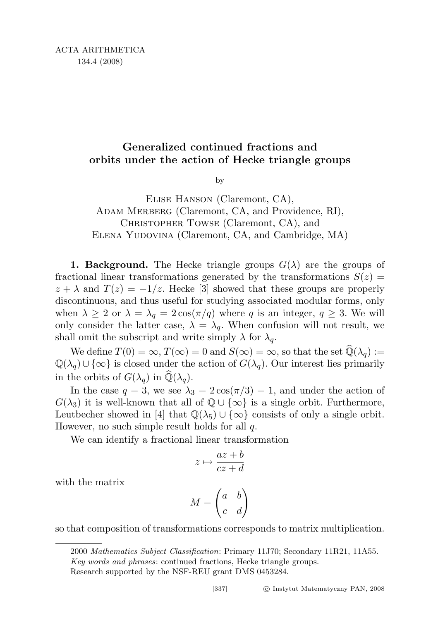## Generalized continued fractions and orbits under the action of Hecke triangle groups

by

## Elise Hanson (Claremont, CA), ADAM MERBERG (Claremont, CA, and Providence, RI), CHRISTOPHER TOWSE (Claremont, CA), and Elena Yudovina (Claremont, CA, and Cambridge, MA)

**1. Background.** The Hecke triangle groups  $G(\lambda)$  are the groups of fractional linear transformations generated by the transformations  $S(z)$  =  $z + \lambda$  and  $T(z) = -1/z$ . Hecke [3] showed that these groups are properly discontinuous, and thus useful for studying associated modular forms, only when  $\lambda \geq 2$  or  $\lambda = \lambda_q = 2\cos(\pi/q)$  where q is an integer,  $q \geq 3$ . We will only consider the latter case,  $\lambda = \lambda_q$ . When confusion will not result, we shall omit the subscript and write simply  $\lambda$  for  $\lambda_q$ .

We define  $T(0) = \infty$ ,  $T(\infty) = 0$  and  $S(\infty) = \infty$ , so that the set  $\widehat{\mathbb{Q}}(\lambda_q) :=$  $\mathbb{Q}(\lambda_q) \cup \{\infty\}$  is closed under the action of  $G(\lambda_q)$ . Our interest lies primarily in the orbits of  $G(\lambda_q)$  in  $\mathbb{Q}(\lambda_q)$ .

In the case  $q = 3$ , we see  $\lambda_3 = 2\cos(\pi/3) = 1$ , and under the action of  $G(\lambda_3)$  it is well-known that all of  $\mathbb{Q} \cup {\infty}$  is a single orbit. Furthermore, Leutbecher showed in [4] that  $\mathbb{Q}(\lambda_5) \cup {\infty}$  consists of only a single orbit. However, no such simple result holds for all  $q$ .

We can identify a fractional linear transformation

$$
z \mapsto \frac{az+b}{cz+d}
$$

with the matrix

$$
M = \begin{pmatrix} a & b \\ c & d \end{pmatrix}
$$

so that composition of transformations corresponds to matrix multiplication.

<sup>2000</sup> Mathematics Subject Classification: Primary 11J70; Secondary 11R21, 11A55. Key words and phrases: continued fractions, Hecke triangle groups.

Research supported by the NSF-REU grant DMS 0453284.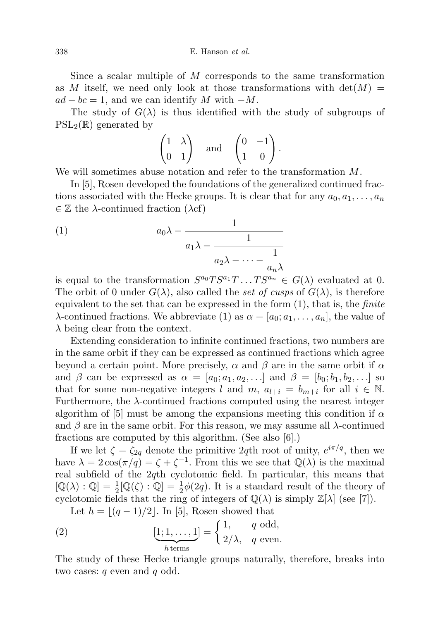$338$  E. Hanson *et al.* 

Since a scalar multiple of M corresponds to the same transformation as M itself, we need only look at those transformations with  $det(M)$  $ad - bc = 1$ , and we can identify M with  $-M$ .

The study of  $G(\lambda)$  is thus identified with the study of subgroups of  $PSL_2(\mathbb{R})$  generated by

$$
\begin{pmatrix} 1 & \lambda \\ 0 & 1 \end{pmatrix} \quad \text{and} \quad \begin{pmatrix} 0 & -1 \\ 1 & 0 \end{pmatrix}.
$$

We will sometimes abuse notation and refer to the transformation M.

In [5], Rosen developed the foundations of the generalized continued fractions associated with the Hecke groups. It is clear that for any  $a_0, a_1, \ldots, a_n$  $\in \mathbb{Z}$  the  $\lambda$ -continued fraction  $(\lambda c f)$ 

(1) 
$$
a_0 \lambda - \frac{1}{a_1 \lambda - \frac{1}{a_2 \lambda - \dots - \frac{1}{a_n \lambda}}}
$$

is equal to the transformation  $S^{a_0}TS^{a_1}T \dots TS^{a_n} \in G(\lambda)$  evaluated at 0. The orbit of 0 under  $G(\lambda)$ , also called the set of cusps of  $G(\lambda)$ , is therefore equivalent to the set that can be expressed in the form  $(1)$ , that is, the *finite*  $\lambda$ -continued fractions. We abbreviate (1) as  $\alpha = [a_0; a_1, \ldots, a_n]$ , the value of  $\lambda$  being clear from the context.

Extending consideration to infinite continued fractions, two numbers are in the same orbit if they can be expressed as continued fractions which agree beyond a certain point. More precisely,  $\alpha$  and  $\beta$  are in the same orbit if  $\alpha$ and  $\beta$  can be expressed as  $\alpha = [a_0; a_1, a_2, \ldots]$  and  $\beta = [b_0; b_1, b_2, \ldots]$  so that for some non-negative integers l and m,  $a_{l+i} = b_{m+i}$  for all  $i \in \mathbb{N}$ . Furthermore, the  $\lambda$ -continued fractions computed using the nearest integer algorithm of [5] must be among the expansions meeting this condition if  $\alpha$ and  $\beta$  are in the same orbit. For this reason, we may assume all  $\lambda$ -continued fractions are computed by this algorithm. (See also [6].)

If we let  $\zeta = \zeta_{2q}$  denote the primitive 2qth root of unity,  $e^{i\pi/q}$ , then we have  $\lambda = 2\cos(\pi/q) = \zeta + \zeta^{-1}$ . From this we see that  $\mathbb{Q}(\lambda)$  is the maximal real subfield of the 2qth cyclotomic field. In particular, this means that  $[\mathbb{Q}(\lambda):\mathbb{Q}]=\frac{1}{2}[\mathbb{Q}(\zeta):\mathbb{Q}]=\frac{1}{2}\phi(2q)$ . It is a standard result of the theory of cyclotomic fields that the ring of integers of  $\mathbb{Q}(\lambda)$  is simply  $\mathbb{Z}[\lambda]$  (see [7]).

Let  $h = \lfloor (q - 1)/2 \rfloor$ . In [5], Rosen showed that

(2) 
$$
[\underbrace{1;1,\ldots,1}_{h \text{ terms}}] = \begin{cases} 1, & q \text{ odd,} \\ 2/\lambda, & q \text{ even.} \end{cases}
$$

The study of these Hecke triangle groups naturally, therefore, breaks into two cases:  $q$  even and  $q$  odd.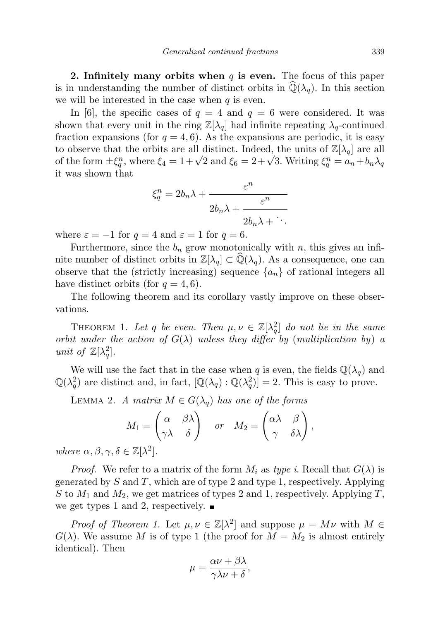2. Infinitely many orbits when  $q$  is even. The focus of this paper is in understanding the number of distinct orbits in  $\mathbb{Q}(\lambda_q)$ . In this section we will be interested in the case when  $q$  is even.

In [6], the specific cases of  $q = 4$  and  $q = 6$  were considered. It was shown that every unit in the ring  $\mathbb{Z}[\lambda_q]$  had infinite repeating  $\lambda_q$ -continued fraction expansions (for  $q = 4, 6$ ). As the expansions are periodic, it is easy to observe that the orbits are all distinct. Indeed, the units of  $\mathbb{Z}[\lambda_q]$  are all to observe that the orbits are all distinct. Indeed, the units of  $\mathbb{Z}[A_q]$  are all<br>of the form  $\pm \xi_q^n$ , where  $\xi_4 = 1 + \sqrt{2}$  and  $\xi_6 = 2 + \sqrt{3}$ . Writing  $\xi_q^n = a_n + b_n \lambda_q$ it was shown that

$$
\xi_q^n = 2b_n\lambda + \frac{\varepsilon^n}{2b_n\lambda + \frac{\varepsilon^n}{2b_n\lambda + \ddots}}
$$

where  $\varepsilon = -1$  for  $q = 4$  and  $\varepsilon = 1$  for  $q = 6$ .

Furthermore, since the  $b_n$  grow monotonically with n, this gives an infinite number of distinct orbits in  $\mathbb{Z}[\lambda_q] \subset \mathbb{Q}(\lambda_q)$ . As a consequence, one can observe that the (strictly increasing) sequence  $\{a_n\}$  of rational integers all have distinct orbits (for  $q = 4, 6$ ).

The following theorem and its corollary vastly improve on these observations.

THEOREM 1. Let q be even. Then  $\mu, \nu \in \mathbb{Z}[\lambda_q^2]$  do not lie in the same orbit under the action of  $G(\lambda)$  unless they differ by (multiplication by) a unit of  $\mathbb{Z}[\lambda_q^2]$ .

We will use the fact that in the case when  $q$  is even, the fields  $\mathbb{Q}(\lambda_q)$  and  $\mathbb{Q}(\lambda_q^2)$  are distinct and, in fact,  $[\mathbb{Q}(\lambda_q):\mathbb{Q}(\lambda_q^2)]=2$ . This is easy to prove.

LEMMA 2. A matrix  $M \in G(\lambda_q)$  has one of the forms

$$
M_1 = \begin{pmatrix} \alpha & \beta \lambda \\ \gamma \lambda & \delta \end{pmatrix} \quad or \quad M_2 = \begin{pmatrix} \alpha \lambda & \beta \\ \gamma & \delta \lambda \end{pmatrix},
$$

where  $\alpha, \beta, \gamma, \delta \in \mathbb{Z}[\lambda^2]$ .

*Proof.* We refer to a matrix of the form  $M_i$  as type i. Recall that  $G(\lambda)$  is generated by  $S$  and  $T$ , which are of type 2 and type 1, respectively. Applying S to  $M_1$  and  $M_2$ , we get matrices of types 2 and 1, respectively. Applying T, we get types 1 and 2, respectively.  $\blacksquare$ 

*Proof of Theorem 1.* Let  $\mu, \nu \in \mathbb{Z}[\lambda^2]$  and suppose  $\mu = M\nu$  with  $M \in$  $G(\lambda)$ . We assume M is of type 1 (the proof for  $M = M_2$  is almost entirely identical). Then

$$
\mu = \frac{\alpha \nu + \beta \lambda}{\gamma \lambda \nu + \delta},
$$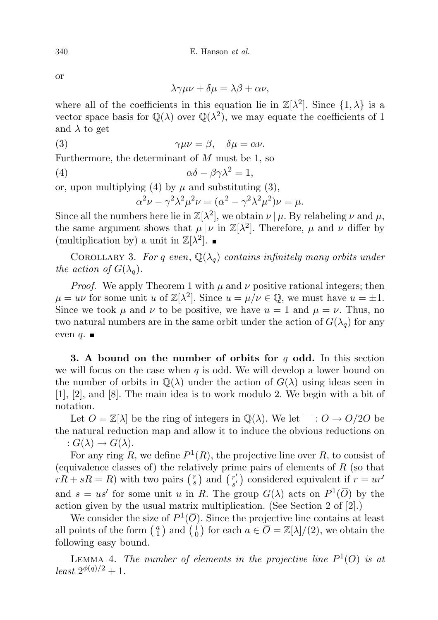or

$$
\lambda \gamma \mu \nu + \delta \mu = \lambda \beta + \alpha \nu,
$$

where all of the coefficients in this equation lie in  $\mathbb{Z}[\lambda^2]$ . Since  $\{1, \lambda\}$  is a vector space basis for  $\mathbb{Q}(\lambda)$  over  $\mathbb{Q}(\lambda^2)$ , we may equate the coefficients of 1 and  $\lambda$  to get

(3) 
$$
\gamma \mu \nu = \beta, \quad \delta \mu = \alpha \nu.
$$

Furthermore, the determinant of M must be 1, so

$$
\alpha \delta - \beta \gamma \lambda^2 = 1,
$$

or, upon multiplying (4) by  $\mu$  and substituting (3),

$$
\alpha^2 \nu - \gamma^2 \lambda^2 \mu^2 \nu = (\alpha^2 - \gamma^2 \lambda^2 \mu^2) \nu = \mu.
$$

Since all the numbers here lie in  $\mathbb{Z}[\lambda^2]$ , we obtain  $\nu \mid \mu$ . By relabeling  $\nu$  and  $\mu$ , the same argument shows that  $\mu | \nu$  in  $\mathbb{Z}[\lambda^2]$ . Therefore,  $\mu$  and  $\nu$  differ by (multiplication by) a unit in  $\mathbb{Z}[\lambda^2]$ .

COROLLARY 3. For q even,  $\mathbb{Q}(\lambda_q)$  contains infinitely many orbits under the action of  $G(\lambda_a)$ .

*Proof.* We apply Theorem 1 with  $\mu$  and  $\nu$  positive rational integers; then  $\mu = u\nu$  for some unit u of  $\mathbb{Z}[\lambda^2]$ . Since  $u = \mu/\nu \in \mathbb{Q}$ , we must have  $u = \pm 1$ . Since we took  $\mu$  and  $\nu$  to be positive, we have  $u = 1$  and  $\mu = \nu$ . Thus, no two natural numbers are in the same orbit under the action of  $G(\lambda_q)$  for any even  $q$ .  $\blacksquare$ 

3. A bound on the number of orbits for  $q$  odd. In this section we will focus on the case when  $q$  is odd. We will develop a lower bound on the number of orbits in  $\mathbb{Q}(\lambda)$  under the action of  $G(\lambda)$  using ideas seen in [1], [2], and [8]. The main idea is to work modulo 2. We begin with a bit of notation.

Let  $O = \mathbb{Z}[\lambda]$  be the ring of integers in  $\mathbb{Q}(\lambda)$ . We let  $\Box : O \to O/2O$  be the natural reduction map and allow it to induce the obvious reductions on :  $G(\lambda) \rightarrow G(\lambda)$ .

For any ring R, we define  $P^1(R)$ , the projective line over R, to consist of (equivalence classes of) the relatively prime pairs of elements of  $R$  (so that  $rR + sR = R$ ) with two pairs  $\begin{pmatrix} r \\ s \end{pmatrix}$  and  $\begin{pmatrix} r' \\ s' \end{pmatrix}$  $s'$ ) considered equivalent if  $r = ur'$ and  $s = us'$  for some unit u in R. The group  $\overline{G(\lambda)}$  acts on  $P^1(\overline{O})$  by the action given by the usual matrix multiplication. (See Section 2 of [2].)

We consider the size of  $P^1(\overline{O})$ . Since the projective line contains at least all points of the form  $\begin{pmatrix} a \\ 1 \end{pmatrix}$  and  $\begin{pmatrix} 1 \\ 0 \end{pmatrix}$  for each  $a \in \overline{O} = \mathbb{Z}[\lambda]/(2)$ , we obtain the following easy bound.

LEMMA 4. The number of elements in the projective line  $P^1(\overline{O})$  is at  $least \; 2^{\phi(q)/2}+1.$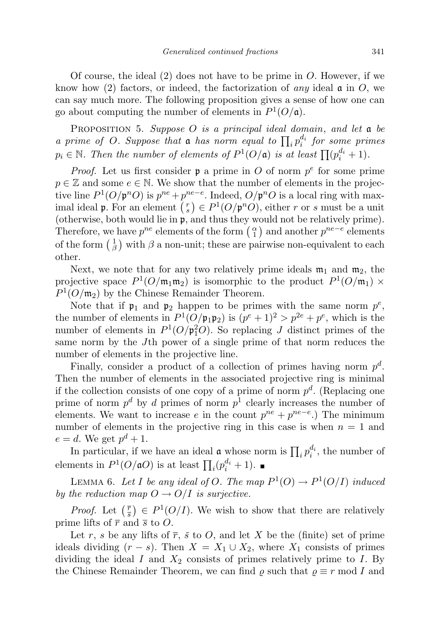Of course, the ideal  $(2)$  does not have to be prime in O. However, if we know how (2) factors, or indeed, the factorization of any ideal  $\mathfrak{a}$  in O, we can say much more. The following proposition gives a sense of how one can go about computing the number of elements in  $P^1(O/\mathfrak{a})$ .

PROPOSITION 5. Suppose  $O$  is a principal ideal domain, and let  $a$  be a prime of O. Suppose that a has norm equal to  $\prod_i p_i^{d_i}$  for some primes  $p_i \in \mathbb{N}$ . Then the number of elements of  $P^1(O/\mathfrak{a})$  is at least  $\prod (p_i^{d_i} + 1)$ .

*Proof.* Let us first consider  $\mathfrak p$  a prime in O of norm  $p^e$  for some prime  $p \in \mathbb{Z}$  and some  $e \in \mathbb{N}$ . We show that the number of elements in the projective line  $P^1(O/\mathfrak{p}^nO)$  is  $p^{ne} + p^{ne-e}$ . Indeed,  $O/\mathfrak{p}^nO$  is a local ring with maximal ideal **p**. For an element  $\binom{r}{s} \in P^1(O/\mathfrak{p}^n O)$ , either r or s must be a unit (otherwise, both would lie in p, and thus they would not be relatively prime). Therefore, we have  $p^{ne}$  elements of the form  $\binom{\alpha}{1}$  and another  $p^{ne-e}$  elements of the form  $\begin{pmatrix} 1 \\ \beta \end{pmatrix}$  with  $\beta$  a non-unit; these are pairwise non-equivalent to each other.

Next, we note that for any two relatively prime ideals  $m_1$  and  $m_2$ , the projective space  $P^1(O/\mathfrak{m}_1\mathfrak{m}_2)$  is isomorphic to the product  $P^1(O/\mathfrak{m}_1) \times$  $P^1(O/\mathfrak{m}_2)$  by the Chinese Remainder Theorem.

Note that if  $\mathfrak{p}_1$  and  $\mathfrak{p}_2$  happen to be primes with the same norm  $p^e$ , the number of elements in  $P^1(O/\mathfrak{p}_1\mathfrak{p}_2)$  is  $(p^e+1)^2 > p^{2e} + p^e$ , which is the number of elements in  $P^1(O/\mathfrak{p}_1^2O)$ . So replacing J distinct primes of the same norm by the Jth power of a single prime of that norm reduces the number of elements in the projective line.

Finally, consider a product of a collection of primes having norm  $p^d$ . Then the number of elements in the associated projective ring is minimal if the collection consists of one copy of a prime of norm  $p^d$ . (Replacing one prime of norm  $p^d$  by d primes of norm  $p^1$  clearly increases the number of elements. We want to increase e in the count  $p^{ne} + p^{ne-e}$ .) The minimum number of elements in the projective ring in this case is when  $n = 1$  and  $e = d$ . We get  $p^d + 1$ .

In particular, if we have an ideal  $\mathfrak a$  whose norm is  $\prod_i p_i^{d_i}$ , the number of elements in  $P^1(O/\mathfrak{a}O)$  is at least  $\prod_i (p_i^{d_i} + 1)$ .

LEMMA 6. Let I be any ideal of O. The map  $P^1(0) \to P^1(0/I)$  induced by the reduction map  $O \rightarrow O/I$  is surjective.

*Proof.* Let  $(\frac{\overline{r}}{s}) \in P^1(\frac{O}{I})$ . We wish to show that there are relatively prime lifts of  $\bar{r}$  and  $\bar{s}$  to O.

Let r, s be any lifts of  $\overline{r}$ ,  $\overline{s}$  to O, and let X be the (finite) set of prime ideals dividing  $(r - s)$ . Then  $X = X_1 \cup X_2$ , where  $X_1$  consists of primes dividing the ideal I and  $X_2$  consists of primes relatively prime to I. By the Chinese Remainder Theorem, we can find  $\rho$  such that  $\rho \equiv r \mod I$  and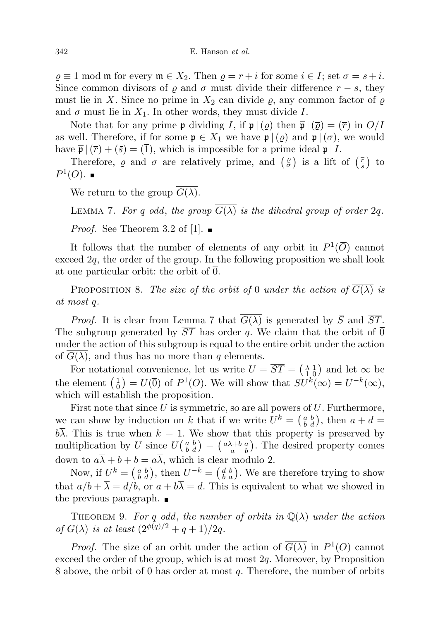$\rho \equiv 1 \mod \mathfrak{m}$  for every  $\mathfrak{m} \in X_2$ . Then  $\rho = r + i$  for some  $i \in I$ ; set  $\sigma = s + i$ . Since common divisors of  $\varrho$  and  $\sigma$  must divide their difference  $r - s$ , they must lie in X. Since no prime in  $X_2$  can divide  $\varrho$ , any common factor of  $\varrho$ and  $\sigma$  must lie in  $X_1$ . In other words, they must divide I.

Note that for any prime **p** dividing I, if  $\mathfrak{p} \mid (\varrho)$  then  $\overline{\mathfrak{p}} \mid (\overline{\varrho}) = (\overline{r})$  in  $O/I$ as well. Therefore, if for some  $\mathfrak{p} \in X_1$  we have  $\mathfrak{p} \mid (\varrho)$  and  $\mathfrak{p} \mid (\sigma)$ , we would have  $\bar{\mathfrak{p}}$   $(\bar{r}) + (\bar{s}) = (\bar{1})$ , which is impossible for a prime ideal  $\mathfrak{p} | I$ .

Therefore,  $\varrho$  and  $\sigma$  are relatively prime, and  $\left(\frac{\varrho}{\sigma}\right)$  is a lift of  $\left(\frac{\overline{r}}{\overline{s}}\right)$  to  $P^1(O)$ .

We return to the group  $\overline{G(\lambda)}$ .

LEMMA 7. For q odd, the group  $\overline{G(\lambda)}$  is the dihedral group of order 2q.

*Proof.* See Theorem 3.2 of [1].  $\blacksquare$ 

It follows that the number of elements of any orbit in  $P^1(\overline{O})$  cannot exceed  $2q$ , the order of the group. In the following proposition we shall look at one particular orbit: the orbit of 0.

PROPOSITION 8. The size of the orbit of  $\overline{0}$  under the action of  $\overline{G(\lambda)}$  is at most q.

*Proof.* It is clear from Lemma 7 that  $\overline{G(\lambda)}$  is generated by  $\overline{S}$  and  $\overline{ST}$ . The subgroup generated by  $\overline{ST}$  has order q. We claim that the orbit of  $\overline{0}$ under the action of this subgroup is equal to the entire orbit under the action of  $G(\lambda)$ , and thus has no more than q elements.

For notational convenience, let us write  $U = \overline{ST} = \begin{pmatrix} \overline{\lambda} & 1 \\ 1 & 0 \end{pmatrix}$  and let  $\infty$  be the element  $\begin{pmatrix} 1 \\ 0 \end{pmatrix} = U(\overline{0})$  of  $P^1(\overline{O})$ . We will show that  $\overline{S}U^k(\infty) = U^{-k}(\infty)$ , which will establish the proposition.

First note that since  $U$  is symmetric, so are all powers of  $U$ . Furthermore, we can show by induction on k that if we write  $U^k = \begin{pmatrix} a & b \\ b & d \end{pmatrix}$ , then  $a + d =$  $b\overline{\lambda}$ . This is true when  $k = 1$ . We show that this property is preserved by multiplication by U since  $U(\begin{array}{c} a & b \\ b & d \end{array}) = (\begin{array}{c} a\overline{\lambda} + b & a \\ a & b \end{array})$ . The desired property comes down to  $a\overline{\lambda} + b + b = a\overline{\lambda}$ , which is clear modulo 2.

Now, if  $U^k = \begin{pmatrix} a & b \\ b & d \end{pmatrix}$ , then  $U^{-k} = \begin{pmatrix} d & b \\ b & a \end{pmatrix}$ . We are therefore trying to show that  $a/b + \overline{\lambda} = d/b$ , or  $a + b\overline{\lambda} = d$ . This is equivalent to what we showed in the previous paragraph.

THEOREM 9. For q odd, the number of orbits in  $\mathbb{Q}(\lambda)$  under the action of  $G(\lambda)$  is at least  $(2^{\phi(q)/2} + q + 1)/2q$ .

*Proof.* The size of an orbit under the action of  $\overline{G(\lambda)}$  in  $P^1(\overline{O})$  cannot exceed the order of the group, which is at most  $2q$ . Moreover, by Proposition 8 above, the orbit of 0 has order at most  $q$ . Therefore, the number of orbits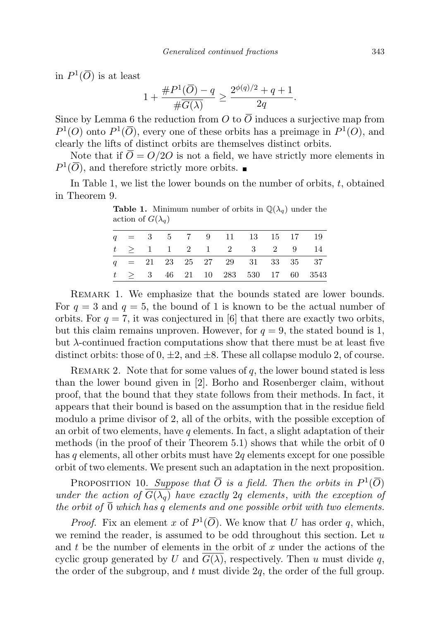in  $P^1(\overline{O})$  is at least

$$
1 + \frac{\#P^1(\overline{O}) - q}{\#\overline{G(\lambda)}} \ge \frac{2^{\phi(q)/2} + q + 1}{2q}.
$$

Since by Lemma 6 the reduction from O to  $\overline{O}$  induces a surjective map from  $P^1(O)$  onto  $P^1(\overline{O})$ , every one of these orbits has a preimage in  $P^1(O)$ , and clearly the lifts of distinct orbits are themselves distinct orbits.

Note that if  $\overline{O} = O/2O$  is not a field, we have strictly more elements in  $P^1(\overline{O})$ , and therefore strictly more orbits.

In Table 1, we list the lower bounds on the number of orbits,  $t$ , obtained in Theorem 9.

|  |  |  | $q = 3$ 5 7 9 11 13 15 17 19     |  |                                        |
|--|--|--|----------------------------------|--|----------------------------------------|
|  |  |  | $t > 1$ 1 2 1 2 3 2 9 14         |  |                                        |
|  |  |  | $q = 21$ 23 25 27 29 31 33 35 37 |  |                                        |
|  |  |  |                                  |  | $t \geq 3$ 46 21 10 283 530 17 60 3543 |

**Table 1.** Minimum number of orbits in  $\mathbb{Q}(\lambda_q)$  under the action of  $G(\lambda_q)$ 

Remark 1. We emphasize that the bounds stated are lower bounds. For  $q = 3$  and  $q = 5$ , the bound of 1 is known to be the actual number of orbits. For  $q = 7$ , it was conjectured in [6] that there are exactly two orbits, but this claim remains unproven. However, for  $q = 9$ , the stated bound is 1, but  $\lambda$ -continued fraction computations show that there must be at least five distinct orbits: those of  $0, \pm 2$ , and  $\pm 8$ . These all collapse modulo 2, of course.

REMARK 2. Note that for some values of  $q$ , the lower bound stated is less than the lower bound given in [2]. Borho and Rosenberger claim, without proof, that the bound that they state follows from their methods. In fact, it appears that their bound is based on the assumption that in the residue field modulo a prime divisor of 2, all of the orbits, with the possible exception of an orbit of two elements, have q elements. In fact, a slight adaptation of their methods (in the proof of their Theorem 5.1) shows that while the orbit of 0 has q elements, all other orbits must have  $2q$  elements except for one possible orbit of two elements. We present such an adaptation in the next proposition.

PROPOSITION 10. Suppose that  $\overline{O}$  is a field. Then the orbits in  $P^1(\overline{O})$ under the action of  $\overline{G(\lambda_q)}$  have exactly 2q elements, with the exception of the orbit of  $\overline{0}$  which has q elements and one possible orbit with two elements.

*Proof.* Fix an element x of  $P^1(\overline{O})$ . We know that U has order q, which, we remind the reader, is assumed to be odd throughout this section. Let  $u$ and t be the number of elements in the orbit of x under the actions of the cyclic group generated by U and  $G(\lambda)$ , respectively. Then u must divide q, the order of the subgroup, and  $t$  must divide  $2q$ , the order of the full group.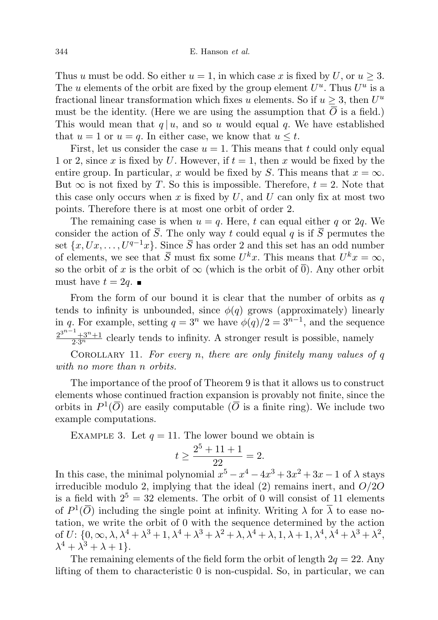Thus u must be odd. So either  $u = 1$ , in which case x is fixed by U, or  $u \geq 3$ . The u elements of the orbit are fixed by the group element  $U^u$ . Thus  $U^u$  is a fractional linear transformation which fixes u elements. So if  $u \geq 3$ , then  $U^u$ must be the identity. (Here we are using the assumption that  $\overline{O}$  is a field.) This would mean that  $q | u$ , and so u would equal q. We have established that  $u = 1$  or  $u = q$ . In either case, we know that  $u \leq t$ .

First, let us consider the case  $u = 1$ . This means that t could only equal 1 or 2, since x is fixed by U. However, if  $t = 1$ , then x would be fixed by the entire group. In particular, x would be fixed by S. This means that  $x = \infty$ . But  $\infty$  is not fixed by T. So this is impossible. Therefore,  $t = 2$ . Note that this case only occurs when x is fixed by  $U$ , and  $U$  can only fix at most two points. Therefore there is at most one orbit of order 2.

The remaining case is when  $u = q$ . Here, t can equal either q or 2q. We consider the action of  $\overline{S}$ . The only way t could equal q is if  $\overline{S}$  permutes the set  $\{x, Ux, \ldots, U^{q-1}x\}$ . Since  $\overline{S}$  has order 2 and this set has an odd number of elements, we see that  $\overline{S}$  must fix some  $U^k x$ . This means that  $U^k x = \infty$ , so the orbit of x is the orbit of  $\infty$  (which is the orbit of  $\overline{0}$ ). Any other orbit must have  $t = 2q$ .

From the form of our bound it is clear that the number of orbits as  $q$ tends to infinity is unbounded, since  $\phi(q)$  grows (approximately) linearly in q. For example, setting  $q = 3^n$  we have  $\phi(q)/2 = 3^{n-1}$ , and the sequence  $\frac{2^{3^{n-1}+3^n+1}}{2\cdot 3^n}$  clearly tends to infinity. A stronger result is possible, namely

COROLLARY 11. For every n, there are only finitely many values of  $q$ with no more than n orbits.

The importance of the proof of Theorem 9 is that it allows us to construct elements whose continued fraction expansion is provably not finite, since the orbits in  $P^1(\overline{O})$  are easily computable ( $\overline{O}$  is a finite ring). We include two example computations.

EXAMPLE 3. Let  $q = 11$ . The lower bound we obtain is

$$
t \ge \frac{2^5 + 11 + 1}{22} = 2.
$$

In this case, the minimal polynomial  $x^5 - x^4 - 4x^3 + 3x^2 + 3x - 1$  of  $\lambda$  stays irreducible modulo 2, implying that the ideal  $(2)$  remains inert, and  $O/2O$ is a field with  $2^5 = 32$  elements. The orbit of 0 will consist of 11 elements of  $P^1(\overline{O})$  including the single point at infinity. Writing  $\lambda$  for  $\overline{\lambda}$  to ease notation, we write the orbit of 0 with the sequence determined by the action of  $U: \{0, \infty, \lambda, \lambda^4 + \lambda^3 + 1, \lambda^4 + \lambda^3 + \lambda^2 + \lambda, \lambda^4 + \lambda, 1, \lambda + 1, \lambda^4, \lambda^4 + \lambda^3 + \lambda^2,$  $\lambda^4 + \lambda^3 + \lambda + 1$ .

The remaining elements of the field form the orbit of length  $2q = 22$ . Any lifting of them to characteristic 0 is non-cuspidal. So, in particular, we can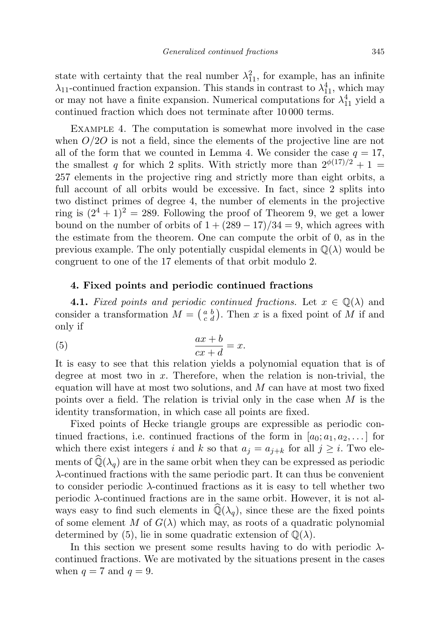state with certainty that the real number  $\lambda_{11}^2$ , for example, has an infinite  $\lambda_{11}$ -continued fraction expansion. This stands in contrast to  $\lambda_{11}^4$ , which may or may not have a finite expansion. Numerical computations for  $\lambda_{11}^4$  yield a continued fraction which does not terminate after 10 000 terms.

Example 4. The computation is somewhat more involved in the case when  $O/2O$  is not a field, since the elements of the projective line are not all of the form that we counted in Lemma 4. We consider the case  $q = 17$ , the smallest q for which 2 splits. With strictly more than  $2\frac{\phi(17)}{2} + 1 =$ 257 elements in the projective ring and strictly more than eight orbits, a full account of all orbits would be excessive. In fact, since 2 splits into two distinct primes of degree 4, the number of elements in the projective ring is  $(2^4 + 1)^2 = 289$ . Following the proof of Theorem 9, we get a lower bound on the number of orbits of  $1 + (289 - 17)/34 = 9$ , which agrees with the estimate from the theorem. One can compute the orbit of 0, as in the previous example. The only potentially cuspidal elements in  $\mathbb{Q}(\lambda)$  would be congruent to one of the 17 elements of that orbit modulo 2.

## 4. Fixed points and periodic continued fractions

**4.1.** Fixed points and periodic continued fractions. Let  $x \in \mathbb{Q}(\lambda)$  and consider a transformation  $M = \begin{pmatrix} a & b \\ c & d \end{pmatrix}$ . Then x is a fixed point of M if and only if

$$
(5) \qquad \qquad \frac{ax+b}{cx+d} = x.
$$

It is easy to see that this relation yields a polynomial equation that is of degree at most two in  $x$ . Therefore, when the relation is non-trivial, the equation will have at most two solutions, and  $M$  can have at most two fixed points over a field. The relation is trivial only in the case when  $M$  is the identity transformation, in which case all points are fixed.

Fixed points of Hecke triangle groups are expressible as periodic continued fractions, i.e. continued fractions of the form in  $[a_0; a_1, a_2, \dots]$  for which there exist integers i and k so that  $a_j = a_{j+k}$  for all  $j \geq i$ . Two elements of  $\mathbb{Q}(\lambda_q)$  are in the same orbit when they can be expressed as periodic λ-continued fractions with the same periodic part. It can thus be convenient to consider periodic λ-continued fractions as it is easy to tell whether two periodic  $\lambda$ -continued fractions are in the same orbit. However, it is not always easy to find such elements in  $\mathbb{Q}(\lambda_q)$ , since these are the fixed points of some element M of  $G(\lambda)$  which may, as roots of a quadratic polynomial determined by (5), lie in some quadratic extension of  $\mathbb{Q}(\lambda)$ .

In this section we present some results having to do with periodic  $\lambda$ continued fractions. We are motivated by the situations present in the cases when  $q = 7$  and  $q = 9$ .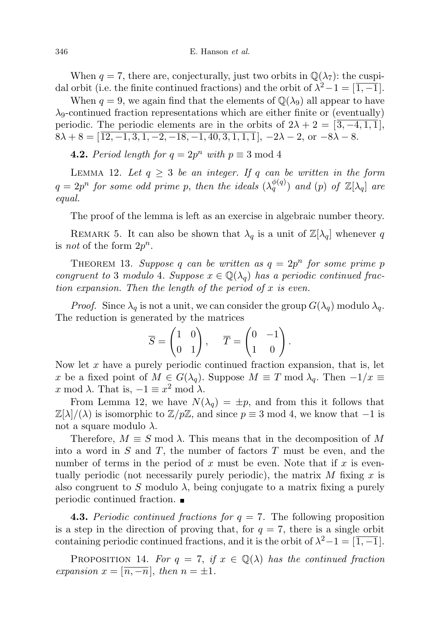When  $q = 7$ , there are, conjecturally, just two orbits in  $\mathbb{Q}(\lambda_7)$ : the cuspidal orbit (i.e. the finite continued fractions) and the orbit of  $\lambda^2 - 1 = \overline{1, -1}$ .

When  $q = 9$ , we again find that the elements of  $\mathbb{Q}(\lambda_9)$  all appear to have  $\lambda_9$ -continued fraction representations which are either finite or (eventually) periodic. The periodic elements are in the orbits of  $2\lambda + 2 = \sqrt{3,-4,1,1}$ ,  $8\lambda + 8 = \left[\overline{12, -1, 3, 1, -2, -18, -1, 40, 3, 1, 1, 1}\right], -2\lambda - 2, \text{ or } -8\lambda - 8.$ 

**4.2.** Period length for  $q = 2p^n$  with  $p \equiv 3 \mod 4$ 

LEMMA 12. Let  $q \geq 3$  be an integer. If q can be written in the form  $q=2p^n$  for some odd prime p, then the ideals  $(\lambda_q^{\phi(q)})$  and  $(p)$  of  $\mathbb{Z}[\lambda_q]$  are equal.

The proof of the lemma is left as an exercise in algebraic number theory.

REMARK 5. It can also be shown that  $\lambda_q$  is a unit of  $\mathbb{Z}[\lambda_q]$  whenever q is *not* of the form  $2p^n$ .

THEOREM 13. Suppose q can be written as  $q = 2p^n$  for some prime p congruent to 3 modulo 4. Suppose  $x \in \mathbb{Q}(\lambda_q)$  has a periodic continued fraction expansion. Then the length of the period of  $x$  is even.

*Proof.* Since  $\lambda_q$  is not a unit, we can consider the group  $G(\lambda_q)$  modulo  $\lambda_q$ . The reduction is generated by the matrices

$$
\overline{S} = \begin{pmatrix} 1 & 0 \\ 0 & 1 \end{pmatrix}, \quad \overline{T} = \begin{pmatrix} 0 & -1 \\ 1 & 0 \end{pmatrix}.
$$

Now let  $x$  have a purely periodic continued fraction expansion, that is, let x be a fixed point of  $M \in G(\lambda_q)$ . Suppose  $M \equiv T \mod \lambda_q$ . Then  $-1/x \equiv$ x mod  $\lambda$ . That is,  $-1 \equiv x^2 \mod \lambda$ .

From Lemma 12, we have  $N(\lambda_q) = \pm p$ , and from this it follows that  $\mathbb{Z}[\lambda]/(\lambda)$  is isomorphic to  $\mathbb{Z}/p\mathbb{Z}$ , and since  $p \equiv 3 \mod 4$ , we know that  $-1$  is not a square modulo  $\lambda$ .

Therefore,  $M \equiv S \mod \lambda$ . This means that in the decomposition of M into a word in  $S$  and  $T$ , the number of factors  $T$  must be even, and the number of terms in the period of x must be even. Note that if x is eventually periodic (not necessarily purely periodic), the matrix  $M$  fixing  $x$  is also congruent to S modulo  $\lambda$ , being conjugate to a matrix fixing a purely periodic continued fraction.

**4.3.** Periodic continued fractions for  $q = 7$ . The following proposition is a step in the direction of proving that, for  $q = 7$ , there is a single orbit containing periodic continued fractions, and it is the orbit of  $\lambda^2 - 1 = \overline{1, -1}$ .

PROPOSITION 14. For  $q = 7$ , if  $x \in \mathbb{Q}(\lambda)$  has the continued fraction expansion  $x = \lfloor \overline{n, -n} \rfloor$ , then  $n = \pm 1$ .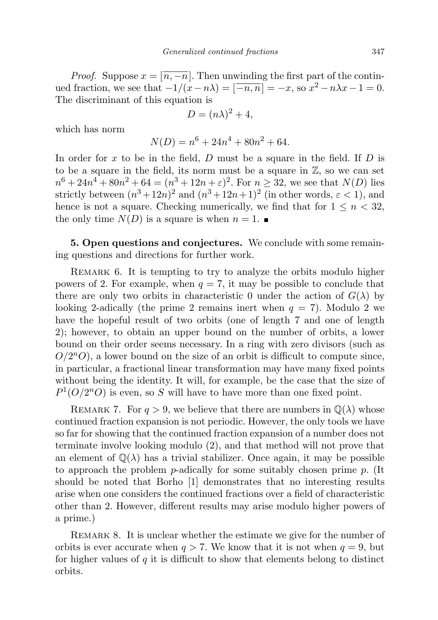*Proof.* Suppose  $x = \lfloor n, -n \rfloor$ . Then unwinding the first part of the continued fraction, we see that  $-1/(x-n\lambda) = [-n, n] = -x$ , so  $x^2 - n\lambda x - 1 = 0$ . The discriminant of this equation is

$$
D = (n\lambda)^2 + 4,
$$

which has norm

$$
N(D) = n^6 + 24n^4 + 80n^2 + 64.
$$

In order for  $x$  to be in the field,  $D$  must be a square in the field. If  $D$  is to be a square in the field, its norm must be a square in  $\mathbb{Z}$ , so we can set  $n^6 + 24n^4 + 80n^2 + 64 = (n^3 + 12n + \varepsilon)^2$ . For  $n \ge 32$ , we see that  $N(D)$  lies strictly between  $(n^3+12n)^2$  and  $(n^3+12n+1)^2$  (in other words,  $\varepsilon < 1$ ), and hence is not a square. Checking numerically, we find that for  $1 \leq n < 32$ , the only time  $N(D)$  is a square is when  $n = 1$ .

5. Open questions and conjectures. We conclude with some remaining questions and directions for further work.

REMARK 6. It is tempting to try to analyze the orbits modulo higher powers of 2. For example, when  $q = 7$ , it may be possible to conclude that there are only two orbits in characteristic 0 under the action of  $G(\lambda)$  by looking 2-adically (the prime 2 remains inert when  $q = 7$ ). Modulo 2 we have the hopeful result of two orbits (one of length 7 and one of length 2); however, to obtain an upper bound on the number of orbits, a lower bound on their order seems necessary. In a ring with zero divisors (such as  $O/2^nO$ , a lower bound on the size of an orbit is difficult to compute since, in particular, a fractional linear transformation may have many fixed points without being the identity. It will, for example, be the case that the size of  $P^1(O/2^nO)$  is even, so S will have to have more than one fixed point.

REMARK 7. For  $q > 9$ , we believe that there are numbers in  $\mathbb{Q}(\lambda)$  whose continued fraction expansion is not periodic. However, the only tools we have so far for showing that the continued fraction expansion of a number does not terminate involve looking modulo (2), and that method will not prove that an element of  $\mathbb{Q}(\lambda)$  has a trivial stabilizer. Once again, it may be possible to approach the problem p-adically for some suitably chosen prime p. (It should be noted that Borho [1] demonstrates that no interesting results arise when one considers the continued fractions over a field of characteristic other than 2. However, different results may arise modulo higher powers of a prime.)

REMARK 8. It is unclear whether the estimate we give for the number of orbits is ever accurate when  $q > 7$ . We know that it is not when  $q = 9$ , but for higher values of  $q$  it is difficult to show that elements belong to distinct orbits.